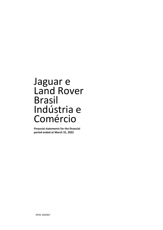# Jaguar e Land Rover Brasil Indústria e Comércio

Financial statements for the financial<br>period ended at March 31, 2022 period chaca at h **Financial statements for the financial period ended at March 31, 2022**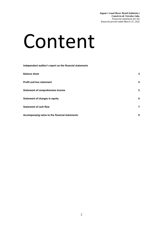*Jaguar e Land Rover Brasil Indústria e Comércio de Veículos Ltda. Financial statements for the financial period ended March 31, 2022*

# Content

**Independent auditor's report on the financial statements**

| <b>Balance sheet</b>                           | 3 |
|------------------------------------------------|---|
| <b>Profit and loss statement</b>               | 4 |
| <b>Statement of comprehensive income</b>       | 5 |
| <b>Statement of changes in equity</b>          | 6 |
| <b>Statement of cash flow</b>                  | 7 |
| Accompanying notes to the financial statements | 9 |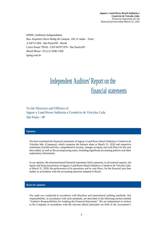*Jaguar e Land Rover Brasil Indústria e Comércio de Veículos Ltda. Financial statements for the financial period ended March 31, 2022*

KPMG Auditores Independentes Rua Arquiteto Olavo Redig de Campos, 105, 6º andar - Torre A 04711-904 - São Paulo/SP - Brasil Caixa Postal 79518 - CEP 04707-970 - São Paulo/SP - Brazil Phone +55 (11) 3940-1500 kpmg.com.br

# Independent Auditors' Report on the financial statements

To the Directors and Officers of Jaguar e Land Rover Indústria e Comércio de Veículos Ltda. São Paulo - SP

#### **Opinion**

We have examined the financial statements of Jaguar e Land Rover Brasil Indústria e Comércio de Veículos ltda. (Company), which comprise the balance sheet at March 31, 2020 and respective statements of profit and loss, comprehensive income, changes in equity and cash flows for the year then ended, as well as the accompanying notes, including significant accounting policies and other explanatory information.

In our opinion, the aforementioned financial statements fairly represent, in all material aspects, the equity and financial position of Jaguar e Land Rover Brasil Indústria e Comércio de Veículos Ltda. at March 31, 2020, the performance of its operations and its cash flows, for the financial year then ended, in accordance with the accounting practices adopted in Brazil.

#### **Basis for opinion**

Our audit was conducted in accordance with Brazilian and international auditing standards. Our responsibilities, in accordance with such standards, are described in the following section entitled "Auditor's Responsibilities for Auditing the Financial Statements". We are independent in relation to the Company in accordance with the relevant ethical principles set forth in the Accountant's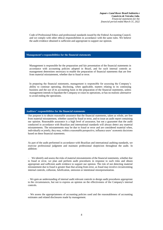Code of Professional Ethics and professional standards issued by the Federal Accounting Council, and we comply with other ethical responsibilities in accordance with the same rules. We believe the audit evidence obtained is sufficient and appropriate to support our opinion.

#### **Management's responsibilities for the financial statements**

Management is responsible for the preparation and fair presentation of the financial statements in accordance with accounting policies adopted in Brazil, and for such internal controls as management determines necessary to enable the preparation of financial statements that are free from material misstatement, whether due to fraud or error.

In preparing the financial statements, management is responsible for assessing the Company's ability to continue operating, disclosing, when applicable, matters relating to its continuing business and the use of its accounting basis in the preparation of the financial statements, unless management intends to liquidate the Company or cease its operations, or has no realistic alternative to avoid ending the operations.

#### **Auditors' responsibilities for the financial statements**

Our purpose is to obtain reasonable assurance that the financial statements, taken as whole, are free from material misstatement, whether caused by fraud or error, and to issue an audit report containing our opinion. Reasonable assurance is a high level of assurance, but not a guarantee that the audit conducted in accordance with Brazilian and international standards will always detect any material misstatements. The misstatements may be due to fraud or error and are considered material when, individually or jointly, they may, within a reasonable perspective, influence users' economic decisions based on these financial statements.

As part of the audit performed in accordance with Brazilian and international auditing standards, we exercise professional judgment and maintain professional skepticism throughout the audit. In addition:

– We identify and assess the risks of material misstatements of the financial statements, whether due to fraud or error, we plan and perform audit procedures in response to such risks and obtain appropriate and sufficient audit evidence to support our opinion. The risk of not detecting material misstatement due to fraud is greater than that arising from error, as fraud may involve circumventing internal controls, collusion, falsification, omission or intentional misrepresentation.

– We gain an understanding of internal audit relevant controls to design audit procedures appropriate to the circumstances, but not to express an opinion on the effectiveness of the Company's internal controls.

– We assess the appropriateness of accounting policies used and the reasonableness of accounting estimates and related disclosures made by management.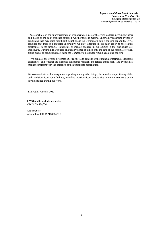– We conclude on the appropriateness of management's use of the going concern accounting basis and, based on the audit evidence obtained, whether there is material uncertainty regarding events or conditions that may raise significant doubt about the Company's going concern capability. If we conclude that there is a material uncertainty, we draw attention in our audit report to the related disclosures in the financial statements or include changes in our opinion if the disclosures are inadequate. Our findings are based on audit evidence obtained until the date of our report. However, future events or conditions may cause the Company to no longer remain as a going concern.

– We evaluate the overall presentation, structure and content of the financial statements, including disclosures, and whether the financial statements represent the related transactions and events in a manner consistent with the objective of the appropriate presentation.

We communicate with management regarding, among other things, the intended scope, timing of the audit and significant audit findings, including any significant deficiencies in internal controls that we have identified during our work.

São Paulo, June 03, 2022

 KPMG Auditores Independentes CRC SP014428/O-6

 Kátia Dantas Accountant CRC 1SP188864/O-3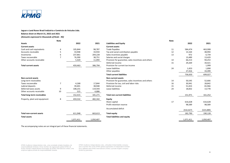

#### **Jaguar e Land Rover Brasil Indústria e Comércio de Veículos Ltda.**

#### **Balance sheet on March 31, 2022 and 2021**

*(Amounts expressed in thousands of Reals - R\$)*

|                                    | <b>Note</b>    |           |           |                                                      | <b>Note</b> |            |           |
|------------------------------------|----------------|-----------|-----------|------------------------------------------------------|-------------|------------|-----------|
| <b>Assets</b>                      |                | 2022      | 2021      | <b>Liabilities and Equity</b>                        |             | 2022       | 2021      |
| <b>Current assets</b>              |                |           |           | <b>Current assets</b>                                |             |            |           |
| Cash and cash equivalents          | 4              | 105,844   | 98,787    | <b>Trade Payables</b>                                | 11          | 584,474    | 463,908   |
| Accounts receivable                | 5              | 33,948    | 33,934    | Tax and social contribution payable                  | 12          | 13,164     | 48,994    |
| Inventories                        | 6              | 237,861   | 204,228   | Sales incentives payable                             | 13          | 972        | 6,734     |
| Taxes recoverable                  | $\overline{7}$ | 76,390    | 38,751    | Salaries and social charges                          |             | 13,489     | 13,429    |
| Other accounts receivable          |                | 5,420     | 11,094    | Provision for guarantee, sales incentives and others | 14          | 66,213     | 94,253    |
|                                    |                |           |           | Deferred income                                      | 15          | 29,269     | 34,421    |
| <b>Total current assets</b>        |                | 459,463   | 386,794   | Provision for current tax income                     |             |            | 1,999     |
|                                    |                |           |           | Lease liabilities                                    | 24          | 1,653      | 1,890     |
|                                    |                |           |           | Other payables                                       |             | 27,416     | 33,399    |
|                                    |                |           |           | <b>Total current liabilities</b>                     |             | 736,650    | 699,027   |
| <b>Non-current assets</b>          |                |           |           | <b>Non-current assets</b>                            |             |            |           |
| Long-term receivables              |                |           |           | Provision for guarantee, sales incentives and others | 14          | 50,545     | 52,666    |
| Taxes recoverable                  | $\overline{7}$ | 4,268     | 17,844    | Provision for tax, civil and labor risks             | 16          | 30,941     | 28,842    |
| Judicial deposits                  |                | 39,401    | 38,948    | Deferred income                                      | 15          | 51,653     | 65,966    |
| Deferred taxes assets              | 9              | 108,231   | 119,593   | Lease liabilities                                    | 24          | 18,832     | 13,778    |
| Other accounts receivable          | 10             | 515       | 4,886     |                                                      |             |            |           |
| <b>Total long-term receivables</b> |                | 152,415   | 181,271   | <b>Total non-current liabilities</b>                 |             | 151,971    | 161,252   |
| Property, plant and equipment      | 8              | 459,532   | 482,342   | <b>Equity</b>                                        |             |            |           |
|                                    |                |           |           | Share capital                                        | 17          | 616,628    | 616,628   |
|                                    |                |           |           | Profit retention reserve                             |             | 98,589     | 98,589    |
|                                    |                |           |           | Accumulated deficit                                  |             | (532, 427) | (525,089) |
| <b>Total non-current assets</b>    |                | 611,948   | 663,613   | <b>Total equity</b>                                  |             | 182,790    | 190,128   |
| <b>Total assets</b>                |                |           |           | <b>Total liabilities and equity</b>                  |             |            |           |
|                                    |                | 1,071,411 | 1,050,407 |                                                      |             | 1,071,411  | 1,050,407 |

The accompanying notes are an integral part of these financial statements.

*KPMG Auditores Independentes Ltda., a Brazilian limited liability company and a member firm of the KPMG global organization of independent member firms affiliated with KPMG International Limited, a private English company limited by guarantee.*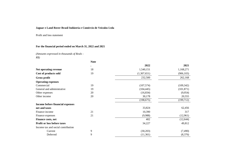#### **Jaguar e Land Rover Brasil Indústria e Comércio de Veículos Ltda**

Profit and loss statement

#### **For the financial period ended on March 31, 2022 and 2021**

*(Amounts expressed in thousands of Reals - R\$)*

|                                    | <b>Note</b> |             |            |
|------------------------------------|-------------|-------------|------------|
|                                    | $\bullet$   | 2022        | 2021       |
| Net operating revenue              | 18          | 1,540,151   | 1,168,271  |
| Cost of products sold              | 19          | (1,307,651) | (906, 103) |
| <b>Gross profit</b>                |             | 232,500     | 262,168    |
| <b>Operating expenses</b>          |             |             |            |
| Commercial                         | 19          | (107, 574)  | (109, 342) |
| General and administrative         | 19          | (104, 445)  | (101, 871) |
| Other expenses                     | 20          | (16, 834)   | (9,054)    |
| Other income                       | 20          | 30,178      | 20,555     |
|                                    |             | (198, 675)  | (199, 712) |
| Income before financial expenses   |             |             |            |
| net and taxes                      |             | 33,824      | 62,456     |
| Finance income                     | 21          | 10,390      | 317        |
| Finance expenses                   | 21          | (9,988)     | (12,961)   |
| Finance costs, net                 |             | 402         | (12, 644)  |
| Profit or loss before taxes        |             | 34,227      | 49,812     |
| Income tax and social contribution |             |             |            |
| Current                            | 9           | (30,203)    | (7,490)    |
| Deferred                           | 9           | (11, 361)   | (8,376)    |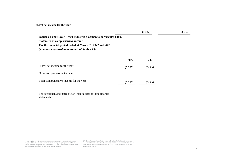**(Loss) net income for the year**

|                                                                   |          | (7, 337) | 33,946 |
|-------------------------------------------------------------------|----------|----------|--------|
| Jaguar e Land Rover Brasil Indústria e Comércio de Veículos Ltda. |          |          |        |
| <b>Statement of comprehensive income</b>                          |          |          |        |
| For the financial period ended at March 31, 2022 and 2021         |          |          |        |
| (Amounts expressed in thousands of Reals - $R\$ )                 |          |          |        |
|                                                                   |          |          |        |
|                                                                   | 2022     | 2021     |        |
| (Loss) net income for the year                                    | (7, 337) | 33,946   |        |
| Other comprehensive income                                        |          |          |        |
| Total comprehensive income for the year                           | (7, 337) | 33,946   |        |

The accompanying notes are an integral part of these financial statements.

KPMG Auditores Independentes Ltda., a Brazilian limited liability company<br>and a member firm of the KPMG global organization of independent member<br>firms affiliated with KPMG International Limited, a private English company *limited by guarantee.*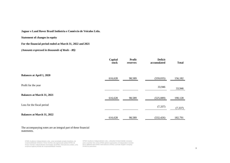**Jaguar e Land Rover Brasil Indústria e Comércio de Veículos Ltda.**

**Statement of changes in equity**

#### **For the financial period ended at March 31, 2022 and 2021**

*(Amounts expressed in thousands of Reals - R\$)*

|                                   | Capital<br>stock | Profit<br>reserves | <b>Deficit</b><br>accumulated | <b>Total</b> |
|-----------------------------------|------------------|--------------------|-------------------------------|--------------|
| <b>Balances at April 1, 2020</b>  | 616,628          | 98,589             | (559, 035)                    | 156,182      |
| Profit for the year               |                  |                    | 33,946                        | 33,946       |
| <b>Balances at March 31, 2021</b> | 616,628          | 98,589             | (525,089)                     | 190,128      |
| Loss for the fiscal period        |                  |                    | (7, 337)                      | (7, 337)     |
| <b>Balances at March 31, 2022</b> | 616,628          | 98,589             | (532, 426)                    | 182,791      |

#### The accompanying notes are an integral part of these financial statements.

KPMG Auditores Independentes Ltda., uma sociedade simples brasileira, de responsabilidade limitada e firma-membro da organização global KPMG de and a member firm of the KPMG global organization of independent member<br>firmas-membro independentes licenciadas da KPMG International Limited, uma firm empresa inglesa privada de responsabilidade limitada.

*KPMG Auditores Independentes Ltda., a Brazilian limited liability company limited by guarantee.*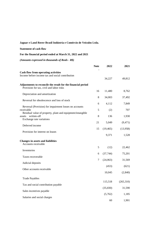#### **Jaguar e Land Rover Brasil Indústria e Comércio de Veículos Ltda.**

#### **Statement of cash flow**

#### **For the financial period ended at March 31, 2022 and 2021**

*(Amounts expressed in thousands of Reals - R\$)*

|                                                                                                          | <b>Note</b> | 2022      | 2021      |
|----------------------------------------------------------------------------------------------------------|-------------|-----------|-----------|
| <b>Cash flow from operating activities</b>                                                               |             |           |           |
| Income before income tax and social contribution                                                         |             | 34,227    | 49,812    |
| Adjustments to reconcile the result for the financial period<br>Provision for tax, civil and labor risks |             |           |           |
|                                                                                                          | 16          | 11,480    | 8,762     |
| Depreciation and amortization                                                                            | 8           | 34,003    | 37,492    |
| Reversal for obsolescence and loss of stock                                                              | 6           | 4,112     | 7,849     |
| Reversal (Provision) for impairment losses on accounts<br>receivable                                     | 5           | (2)       | 707       |
| Residual value of property, plant and equipment/intangible<br>written-off<br>assets                      | 8           | 136       | 1,930     |
| Exchange rate variations                                                                                 | 21          | 5,049     | (9, 471)  |
| Deferred income                                                                                          |             |           |           |
| Provision for interest on leases                                                                         | 15          | (19, 465) | (13,958)  |
|                                                                                                          |             | 9,371     | 1,528     |
| <b>Changes in assets and liabilities</b>                                                                 |             |           |           |
| Accounts receivable                                                                                      | 5           | (12)      | 22,462    |
| Inventories                                                                                              |             |           |           |
| Taxes recoverable                                                                                        | 6           | (37, 744) | 75,201    |
|                                                                                                          | 7           | (24,063)  | 31,569    |
| Judicial deposits                                                                                        |             | (453)     | (621)     |
| Other accounts receivable                                                                                |             |           |           |
|                                                                                                          |             | 10,045    | (2,840)   |
| <b>Trade Payables</b>                                                                                    |             | 115,518   | (265,310) |
| Tax and social contribution payable                                                                      |             |           |           |
| Sales incentives payable                                                                                 |             | (35, 830) | 31,590    |
|                                                                                                          |             | (5,762)   | 1,185     |
| Salaries and social charges                                                                              |             | 60        | 1,901     |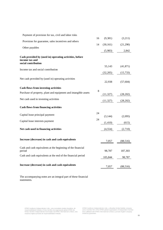| Payment of provision for tax, civil and labor risks                                              |           |           |
|--------------------------------------------------------------------------------------------------|-----------|-----------|
| 16                                                                                               | (9, 381)  | (3,211)   |
| Provision for guarantee, sales incentives and others<br>14                                       | (30, 161) | (21,290)  |
| Other payables                                                                                   | (5,983)   | 2,842     |
| Cash provided by (used in) operating activities, before<br>income tax and<br>social contribution |           |           |
|                                                                                                  | 55,143    | (41, 871) |
| Income tax and social contribution                                                               | (32,205)  | (15, 733) |
| Net cash provided by (used in) operating activities                                              | 22,938    | (57, 604) |
| <b>Cash flows from investing activities</b>                                                      |           |           |
| 8<br>Purchase of property, plant and equipment and intangible assets                             | (11, 327) | (28, 202) |
| Net cash used in investing activities                                                            | (11, 327) | (28,202)  |
| <b>Cash flows from financing activities</b>                                                      |           |           |
| 24<br>Capital lease principal payment                                                            | (3, 144)  | (2,095)   |
| 24<br>Capital lease interests payment                                                            | (1,410)   | (615)     |
| Net cash used in financing activities                                                            | (4, 554)  | (2,710)   |
| Increase (decrease) in cash and cash equivalents                                                 | 7,057     | (88, 516) |
| Cash and cash equivalents at the beginning of the financial<br>period                            | 98,787    | 187,303   |
| Cash and cash equivalents at the end of the financial period                                     | 105,844   | 98,787    |
| Increase (decrease) in cash and cash equivalents                                                 | 7,057     | (88, 516) |

The accompanying notes are an integral part of these financial statements.

KPMG Auditores Independentes Ltda., uma sociedade simples brasileira, de<br>responsabilidade limitada e firma-membro da organização global KPMG de<br>firmas-membro independentes licenciadas da KPMG International Limited, uma<br>emp

KPMG Auditores Independentes Ltda., a Brazilian limited liability company<br>and a member firm of the KPMG global organization of independent member<br>firms affiliated with KPMG International Limited, a private English company<br>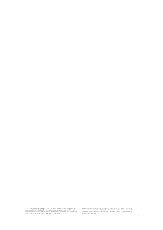KPMG Auditores Independentes Ltda., uma sociedade simples brasileira, de<br>responsabilidade limitada e firma-membro da organização global KPMG de<br>firmas-membro independentes licenciadas da KPMG International Limited, uma<br>emp

KPMG Auditores Independentes Ltda., a Brazilian limited liability company<br>and a member firm of the KPMG global organization of independent member<br>firms affiliated with KPMG International Limited, a private English company<br>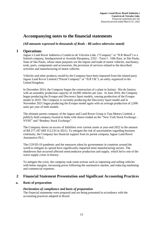# **Accompanying notes to the financial statements**

# *(All amounts expressed in thousands of Reals - R\$ unless otherwise stated)*

# **1 Operations**

Jaguar e Land Rover Indústria e Comércio de Veículos Ltda. ("Company" or "JLR Brasil") is a limited company, headquartered at Avenida Ibirapuera, 2332 - Torre I - 10th floor, in São Paulo, State of São Paulo, whose main purposes are the import and trade of motor vehicles, machinery, tools, parts, components and accessories, the provision of services related to the described activities and manufacturing of motor vehicles.

Vehicles and other products resold by the Company have been imported from the related party Jaguar Land Rover Limited ("Parent Company" or "JLR UK"), an entity organized in the United Kingdom.

In December 2014, the Company began the construction of a plant in Itatiaia - Rio de Janeiro, with an assembly production capacity of 24,000 vehicles per year. In June 2016, the Company began producing the Evoque and Discovery Sport models, ceasing production of the Evoque model in 2019. The Company is currently producing the Discovery Sport model and in November 2021 began producing the Evoque model again with an average production of 2,000 units per year of both models.

The ultimate parent company of the Jaguar and Land Rover Group is Tata Motors Limited, a publicly held company located in India with shares traded on the "New York Stock Exchange - NYSE" and "Bombay Stock Exchange".

The Company shows an excess of liabilities over current assets at year-end 2022 in the amount of R\$ 277,187 (R\$ 312,233 in 2021). To mitigate the risk of uncertainties regarding business continuity, the Company has financial support from its parent company Jaguar Land Rover Automotive PLC.

The COVID-19 pandemic and the measures taken by governments in countries around the world to mitigate its spread have significantly impacted most manufacturing sectors. The shutdowns that occurred affected semiconductor production and supply, which led to one of the worst supply crises in history.

To mitigate the crisis, the company took some actions such as importing and selling vehicles with better margins, increasing prices following the automotive market, and reducing marketing and commercial expenses.

# **2 Financial Statement Presentation and Significant Accounting Practices**

# **a. Basis of preparation**

# *Declaration of compliance and basis of preparation*

The financial statements were prepared and are being presented in accordance with the accounting practices adopted in Brazil.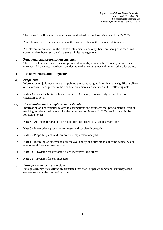The issue of the financial statements was authorized by the Executive Board on 03, 2022.

After its issue, only the members have the power to change the financial statements.

All relevant information in the financial statements, and only them, are being disclosed, and correspond to those used by Management in its management.

#### **b. Functional and presentation currency**

The current financial statements are presented in Reals, which is the Company's functional currency. All balances have been rounded up to the nearest thousand, unless otherwise stated.

#### **c. Use of estimates and judgments**

#### *(i) Judgments*

Information on judgments made in applying the accounting policies that have significant effects on the amounts recognized in the financial statements are included in the following notes:

• **Note 23 -** Lease Liabilities - Lease term if the Company is reasonably certain to exercise extension options.

#### *(ii) Uncertainties on assumptions and estimates*

Information on uncertainties related to assumptions and estimates that pose a material risk of resulting in relevant adjustment for the period ending March 31, 2022, are included in the following notes:

**Note 4** - Accounts receivable - provision for impairment of accounts receivable

- Note 5 Inventories provision for losses and obsolete inventories;
- **Note 7**  Property, plant, and equipment impairment analysis.
- **Note 8** recording of deferred tax assets: availability of future taxable income against which temporary differences may be used;
- Note 13 Provision for guarantee, sales incentives, and others
- **Note 15** Provision for contingencies.

#### **d. Foreign currency transactions**

Foreign currency transactions are translated into the Company's functional currency at the exchange rate on the transaction dates.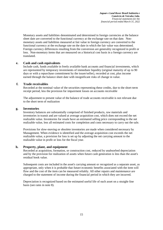Monetary assets and liabilities denominated and determined in foreign currencies at the balance sheet date are converted to the functional currency at the exchange rate on that date. Nonmonetary assets and liabilities measured at fair value in foreign currency are converted to the functional currency at the exchange rate on the date in which the fair value was determined. Foreign currency differences resulting from the conversion are generality recognized in profit or loss. Non-monetary items that are measured on a historical cost basis in a foreign currency are translated.

# **e. Cash and cash equivalents**

Include cash, funds available in freely available bank accounts and financial investments, which are represented by temporary investments of immediate liquidity (original maturity of up to 90 days or with a repurchase commitment by the issuer/seller), recorded at cost, plus income earned through the balance sheet date with insignificant risks of change in value.

#### **f. Trade receivables**

Recorded at the nominal value of the securities representing these credits, due to the short-term receipt period, less the provision for impairment losses on accounts receivable

The adjustment to present value of the balance of trade accounts receivable is not relevant due to the short term of realization

#### **g. Inventories**

Inventory balances are substantially comprised of finished products, raw materials and inventories in transit and are valued at average acquisition cost, which does not exceed the net realizable value. Inventories for resale have an estimated selling price corresponding to the net realizable value, less all estimated costs for completion and costs necessary to carry out the sale.

Provisions for slow-moving or obsolete inventories are made when considered necessary by Management. When evidence is identified and the average acquisition cost exceeds the net realizable value, a provision for loss is set up by adjusting the net carrying amount to the realizable value in profit or loss for the fiscal year.

#### **h. Property, plant, and equipment**

Recorded at acquisition, formation, or construction cost, reduced by unabsorbed depreciation and by the provision for realization of assets when future cash generation is less than the asset's residual book value.

Subsequent costs are included in the asset's carrying amount or recognized as a separate asset, as appropriate, only when it is probable that future economic benefits associated with the item will flow and the cost of the item can be measured reliably. All other repairs and maintenance are charged to the statement of income during the financial period in which they are incurred.

Depreciation is recognized based on the estimated useful life of each asset on a straight-line basis (see rates in note 8).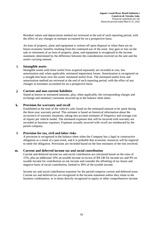Residual values and depreciation method are reviewed at the end of each reporting period, with the effect of any changes in estimate accounted for on a prospective basis.

An item of property, plant and equipment is written off upon disposal or when there are no future economic benefits resulting from the continued use of the asset. Any gain or loss on the sale or retirement of an item of property, plant, and equipment is recognized in the income statement, determined by the difference between the consideration received on the sale and the asset's carrying amount.

#### **i. Intangible assets**

Intangible assets with finite useful lives acquired separately are recorded at cost, less amortization and, when applicable, estimated impairment losses. Amortization is recognized on a straight-line basis over the assets' estimated useful lives. The estimated useful lives and amortization method are reviewed at the end of each reporting period, with the effect of any changes in estimates accounted for on a prospective basis.

#### **j. Current and non-current liabilities**

Stated at known or estimated amounts, plus, when applicable, the corresponding charges and exchange and monetary variations incurred up to the balance sheet dates.

#### **k. Provision for warranty and recall**

Established at the time of the vehicle's sale, based on the estimated amount to be spent during the three-year warranty period. This estimate is based on historical information about the occurrence of warranty situations, taking into account estimates of frequency and average cost of repairs per vehicle model. The estimated expenses that will be incurred with warranty are recorded as business expenses. Expenses actually incurred with *recall* are reimbursed by the parent company.

# **l. Provision for tax, civil and labor risks**

A provision is recognized in the balance sheet when the Company has a legal or constructive obligation as a result of a past event, and it is probable that economic resources will be required to settle the obligation. Provisions are recorded based on the best estimates of the risk involved.

#### **m. Current and deferred income tax and social contribution**

Current and deferred income tax and social contribution are calculated based on the rates of 15%, plus an additional 10% on taxable income in excess of R\$ 240 for income tax and 9% on taxable income for contribution on net income and consider the offsetting of tax losses and negative basis of social contribution, limited to 30% of the taxable income.

Income tax and social contribution expenses for the period comprise current and deferred taxes. Current tax and deferred tax are recognized in the income statement unless they relate to the business combination, or to items directly recognized in equity or other comprehensive income.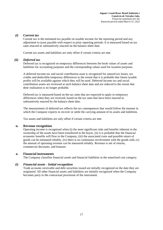#### *(i) Current tax*

Current tax is the estimated tax payable on taxable income for the reporting period and any adjustment to taxes payable with respect to prior reporting periods. It is measured based on tax rates enacted or substantively enacted on the balance sheet date.

Current tax assets and liabilities are only offset if certain criteria are met.

# *(ii) Deferred tax*

Deferred tax is recognized on temporary differences between the book values of assets and liabilities for accounting purposes and the corresponding values used for taxation purposes.

A deferred income tax and social contribution asset is recognized for unused tax losses, tax credits and deductible temporary differences to the extent that it is probable that future taxable profits will be available against which they will be used. Deferred income tax and social contribution assets are reviewed at each balance sheet date and are reduced to the extent that their realization is no longer probable.

Deferred tax is measured based on the tax rates that are expected to apply to temporary differences when they are reversed, based on the tax rates that have been enacted or substantively enacted by the balance sheet date.

The measurement of deferred tax reflects the tax consequences that would follow the manner in which the Company expects to recover or settle the carrying amount of its assets and liabilities.

Tax assets and liabilities are only offset if certain criteria are met.

#### **n. Revenue recognition**

Operating income is recognized when (i) the most significant risks and benefits inherent in the ownership of the assets have been transferred to the buyer, (ii) it is probable that the financial economic benefits will flow to the Company, (iii) the associated costs and possible return of goods can be estimated reliably, (iv) there is no continuous involvement with the goods sold, (v) the amount of operating revenue can be measured reliably. Revenue is net of returns, commercial discounts, and bonuses

# **o. Financial instruments**

The Company classifies financial assets and financial liabilities in the amortized cost category.

# *(i) Financial assets - Initial recognition*

Trade accounts receivable and debt securities issued are initially recognized on the date they are originated. All other financial assets and liabilities are initially recognized when the Company becomes party to the contractual provisions of the instrument.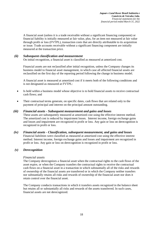A financial asset (unless it is a trade receivable without a significant financing component) or financial liability is initially measured at fair value, plus, for an item not measured at fair value through profit or loss (FVTPL), transaction costs that are directly attributable to its acquisition or issue. Trade accounts receivable without a significant financing component are initially measured at the transaction price.

## *(ii) Subsequent classification and measurement*

On initial recognition, a financial asset is classified as measured at amortized cost.

Financial assets are not reclassified after initial recognition, unless the Company changes its business model to financial asset management, in which case all affected financial assets are reclassified on the first day of the reporting period following the change in business model.

A financial asset is measured at amortized cost if it meets both of the following conditions and is not designated as measured at FVTPL:

- Is held within a business model whose objective is to hold financial assets to receive contractual cash flows; and
- Their contractual terms generate, on specific dates, cash flows that are related only to the payment of principal and interest on the principal amount outstanding.

#### *(iii) Financial assets - Subsequent measurement and gains and losses*

These assets are subsequently measured at amortized cost using the effective interest method. The amortized cost is reduced by impairment losses. Interest income, foreign exchange gains and losses and impairment are recognized in profit or loss. Any gain or loss on derecognition is recognized in profit or loss.

*(iv) Financial assets - Classification, subsequent measurement, and gains and losses* Financial liabilities were classified as measured at amortized cost using the effective interest method. Interest income, foreign exchange gains and losses and impairment are recognized in profit or loss. Any gain or loss on derecognition is recognized in profit or loss.

#### *(v) Derecognition*

#### *Financial assets*

The Company derecognizes a financial asset when the contractual rights to the cash flows of the asset expire, or when the Company transfers the contractual rights to receive the contractual cash flows on a financial asset in a transaction in which substantially all of the risks and rewards of ownership of the financial assets are transferred or in which the Company neither transfers nor substantially retains all risks and rewards of ownership of the financial asset nor does it retain control over the financial asset.

The Company conducts transactions in which it transfers assets recognized in the balance sheet but retains all or substantially all risks and rewards of the assets transferred. In such cases, financial assets are not derecognized.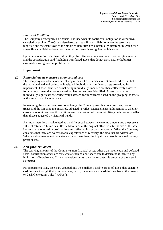# *Financial liabilities*

The Company derecognizes a financial liability when its contractual obligation is withdrawn, canceled or expires. The Group also derecognizes a financial liability when the terms are modified and the cash flows of the modified liabilities are substantially different, in which case a new financial liability based on the modified terms is recognized at fair value.

Upon derecognition of a financial liability, the difference between the extinct carrying amount and the consideration paid (including transferred assets that do not carry cash or liabilities assumed) is recognized in profit or loss.

# **p. Impairment**

# *(i) Financial assets measured at amortized cost*

The Company considers evidence of impairment of assets measured at amortized cost at both the individualized and collective levels. All individually significant assets are valued for impairment. Those identified as not being individually impaired are then collectively assessed for any impairment that has occurred but has not yet been identified. Assets that are not individually significant are collectively assessed for impairment based on the grouping of assets with similar risk characteristics.

In assessing the impairment loss collectively, the Company uses historical recovery period trends and the loss amounts incurred, adjusted to reflect Management's judgment as to whether current economic and credit conditions are such that actual losses will likely be larger or smaller than those suggested by historical trends.

An impairment loss is calculated as the difference between the carrying amount and the present value of estimated future cash flows discounted at the original effective interest rate of the asset. Losses are recognized in profit or loss and reflected in a provision account. When the Company considers that there are no reasonable expectations of recovery, the amounts are written off. When a subsequent event indicates an impairment loss, the impairment loss is reversed through profit or loss.

# *(ii) Non-financial assets*

The carrying amounts of the Company's non-financial assets other than income tax and deferred social contribution assets are reviewed at each balance sheet date to determine if there is any indication of impairment. If such indication occurs, then the recoverable amount of the asset is estimated.

For impairment tests, assets are grouped into the smallest possible group of assets that generate cash inflows through their continued use, mostly independent of cash inflows from other assets, or Cash Generating Units ("CGUs").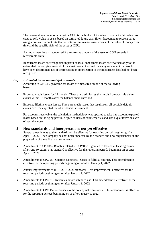The recoverable amount of an asset or CGU is the higher of its value in use or its fair value less costs to sell. Value in use is based on estimated future cash flows discounted to present value using a pre-tax discount rate that reflects current market assessments of the value of money over time and the specific risks of the asset or CGU.

An impairment loss is recognized if the carrying amount of the asset or CGU exceeds its recoverable value.

Impairment losses are recognized in profit or loss. Impairment losses are reversed only to the extent that the carrying amount of the asset does not exceed the carrying amount that would have been determined, net of depreciation or amortization, if the impairment loss had not been recognized.

#### *(iii) Estimated losses on doubtful accounts*

According to CPC 48, provision for losses are measured on one of the following bases:

- Expected credit losses for 12 months: These are credit losses that result from possible default events within 12 months after the balance sheet date; and
- Expected lifetime credit losses: These are credit losses that result from all possible default events over the expected life of a financial instrument.

For accounts receivable, the calculation methodology was updated to take into account expected losses based on the aging profile, degree of risks of counterparties and also a qualitative analysis of past due notes.

# **3 New standards and interpretations not yet effective**

Several amendments to the standards will be effective for reporting periods beginning after April 1, 2022. The Company has not been impacted by the changes and new requirements in the preparation of these financial statements.

- Amendment to CPC 06 Benefits related to COVID-19 granted to lessees in lease agreements after June 30, 2021. This standard is effective for the reporting periods beginning on or after April 1, 2021.
- Amendments to CPC 25 Onerous Contracts Costs to fulfill a contract. This amendment is effective for the reporting periods beginning on or after January 1, 2022.
- Annual improvements to IFRS-2018-2020 standards. This improvement is effective for the reporting periods beginning on or after January 1, 2022.
- Amendments to CPC 27 Revenues before intended use. This amendment is effective for the reporting periods beginning on or after January 1, 2022.
- Amendments to CPC 15- References to the conceptual framework. This amendment is effective for the reporting periods beginning on or after January 1, 2022.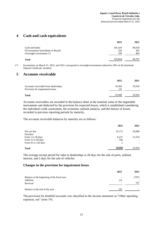# **4 Cash and cash equivalents**

|                                     | 2022    | 2021   |
|-------------------------------------|---------|--------|
| Cash and banks                      | 105,434 | 98,018 |
| DI investment fund (Bank of Brazil) | 250     | 305    |
| Overnight investments $(*)$         | 160     | 464    |
| <b>Total</b>                        | 105,844 | 98.787 |

(\*) Investments on March 31, 2022, and 2021 correspond to overnight investments indexed to 30% of the Interbank Deposit Certificate variation.

# **5 Accounts receivable**

|                                                                         | 2022          | 2021   |
|-------------------------------------------------------------------------|---------------|--------|
| Accounts receivable from dealerships<br>Provision for impairment losses | 33,950<br>(2) | 33.934 |
| <b>Total</b>                                                            | 33,948        | 33.934 |

Accounts receivables are recorded in the balance sheet at the nominal value of the negotiable instruments and deducted by the provision for expected losses, which is established considering the individual credit assessment, the economic outlook analysis, and the history of losses recorded in previous reporting periods by maturity.

The accounts receivable balances by maturity are as follows:

|                     | 2022   | 2021                     |
|---------------------|--------|--------------------------|
| Not yet due         | 25,175 | 20,680                   |
| Overdue:            |        |                          |
| From 1 to 30 days   | 8,227  | 13,254                   |
| From 31 to 90 days  | 546    | $\overline{\phantom{0}}$ |
| From 91 to 120 days | 2      |                          |
| <b>Total</b>        | 33,950 | 33,934                   |

The average receipt period for sales to dealerships is 28 days for the sale of parts, without interest, and 2 days for the sale of vehicles.

#### **Changes in the provision for impairment losses**

|                                             | 2022 | 2021  |
|---------------------------------------------|------|-------|
| Balance at the beginning of the fiscal year |      | (707) |
| Addition                                    | (2)  |       |
| Reversal                                    |      | 707   |
| Balance at the end of the year              | (2)  |       |

The provision for doubtful accounts was classified in the income statement as "Other operating expenses, net" (note 19).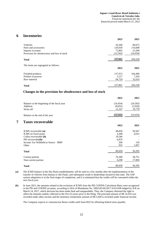# **6 Inventories**

|                                                             | 2022      | 2021      |
|-------------------------------------------------------------|-----------|-----------|
| Vehicles                                                    | 56,368    | 80,675    |
| Parts and accessories                                       | 120,030   | 116,608   |
| Imports in transit                                          | 73,805    | 23,399    |
| Provision for obsolescence and loss of stock                | (12, 342) | (16, 454) |
| <b>Total</b>                                                | 237,861   | 204,228   |
| The items are segregated as follows:                        |           |           |
|                                                             | 2022      | 2021      |
| Finished products                                           | 137,915   | 164,406   |
| Product in process                                          | 5,217     | 7,203     |
| Raw material                                                | 94,729    | 32,619    |
| <b>Total</b>                                                | 237,861   | 204,228   |
| Changes in the provision for obsolescence and loss of stock |           |           |
|                                                             | 2022      | 2021      |
| Balance at the beginning of the fiscal year                 | (16, 454) | (24, 303) |
| Addition                                                    | (8,055)   | (2,929)   |
| Write-off                                                   | 12,167    | 10,778    |
| Balance at the end of the year                              | (12, 342) | (16, 454) |
| <b>Taxes recoverable</b>                                    |           |           |
|                                                             | 2022      | 2021      |
| ICMS recoverable (a)                                        | 48,830    | 50,567    |
| ICMS on fixed assets                                        | 4,268     | 4,012     |
| Cofine recoverable (b)                                      | 10,516    |           |

| ICMS recoverable (a)                 | 48,830 | 50,567 |
|--------------------------------------|--------|--------|
| <b>ICMS</b> on fixed assets          | 4,268  | 4,012  |
| Cofins recoverable ( <b>b</b> )      | 19,546 |        |
| PIS recoverable( <b>b</b> )          | 6,876  |        |
| Income Tax Withheld at Source - IRRF | 206    | 159    |
| Other                                | 932    | 1,857  |
| <b>Total</b>                         | 80,658 | 56,595 |
| Current portion                      | 76,390 | 38,751 |
| Non-current portion                  | 4,268  | 17,844 |
| <b>Total</b>                         | 80,658 | 56,595 |

**(a)** The ICMS balance in the São Paulo establishments will be used in a few months after the implementation of the transfer of vehicles from Itatiaia to São Paulo, and subsequent resale to dealerships located in that state. The SAP system adaptation is in the final stages of completion, and it is estimated that the credits will be consumed within the next fiscal year.

**(b)** In June 2021, the amounts related to the exclusion of ICMS from the PIS COFINS Calculation Basis were recognized in the PIS and COFINS accounts, according to Writ of Mandamus No. 5002520-60.2017.4.03.6100 lodged by JLR on March 14, 2017, which decision has been made final and unappealable. Thus, the Company obtained the right to offset the amounts unduly collected in the five (5) years prior to the filing. The principal amount of R\$ 25,016 was recorded under other income and the monetary restatement amount of R\$ 5,028 is recorded under financial income.

The Company expects to consume/use theses credits until June/2022 by offsetting federal taxes payable.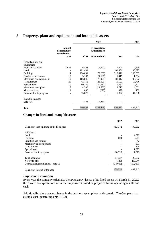|                                   |                                         | 2022    |                               |            | 2021       |
|-----------------------------------|-----------------------------------------|---------|-------------------------------|------------|------------|
|                                   | Annual<br>depreciation/<br>amortization |         | Depreciation/<br>Amortization |            |            |
|                                   | $-$ %                                   | Cost    | Accumulated                   | <b>Net</b> | <b>Net</b> |
| Property, plant and<br>equipment: |                                         |         |                               |            |            |
| Right-of-use assets               | 12.81                                   | 6,448   | (4,947)                       | 1,501      | 2,695      |
| Land                              |                                         | 101,431 |                               | 101,431    | 96,373     |
| <b>Buildings</b>                  | $\overline{4}$                          | 290,691 | (72, 280)                     | 218,411    | 206,032    |
| Furniture and fixtures            | 10                                      | 3.107   | (1,691)                       | 1,416      | 1,384      |
| Machinery and equipment           | 10                                      | 166,846 | (77, 929)                     | 88,917     | 93,722     |
| IT equipment                      | 20                                      | 42,752  | (23, 629)                     | 19,123     | 18,786     |
| Special tools                     | 10                                      | 60,349  | (50, 582)                     | 9,767      | 14,122     |
| Water treatment plant             | 6                                       | 14,398  | (11,680)                      | 2,718      | 4,001      |
| Motor vehicles                    | 11                                      | 600     | (228)                         | 372        | 439        |
| Construction in progress          |                                         | 15,877  |                               | 15,877     | 44,788     |
| Intangible assets:                |                                         |         |                               |            |            |
| Software                          |                                         | 4,483   | (4, 483)                      |            |            |
| Total                             |                                         | 706,982 | (247, 449)                    | 459,532    | 482,342    |

# **8 Property, plant and equipment and intangible assets**

## **Changes in fixed and intangible assets**

|                                             | 2022     | 2021      |
|---------------------------------------------|----------|-----------|
| Balance at the beginning of the fiscal year | 482,342  | 493,562   |
| Additions:                                  |          |           |
| Land                                        |          | 4,372     |
| <b>Buildings</b>                            | 604      | 3,963     |
| Furniture and fixtures                      |          | 42        |
| Machinery and equipment                     |          | 631       |
| IT equipment                                |          | 494       |
| Special tools                               |          | 1,327     |
| Construction in progress                    | 10,723   | 17,373    |
| Total additions                             | 11,327   | 28,202    |
| Net write-offs                              | (136)    | (1,930)   |
| Depreciation/amortization - note 18         | (34,003) | (37, 492) |
| Balance at the end of the year              | 459,532  | 482,342   |

#### *Impairment valuation*

Every year the company calculates the *impairment* losses of its fixed assets. At March 31, 2022, there were no expectations of further impairment based on projected future operating results and cash.

Additionally, there was no change in the business assumptions and scenario. The Company has a single cash-generating unit (CGU).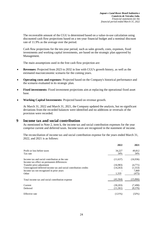The recoverable amount of the CGU is determined based on a value-in-use calculation using discounted cash flow projections based on a ten-year financial budget and a nominal discount rate of 11.9% as the average over the period.

Cash flow projections for the ten-year period, such as sales growth, costs, expenses, fixed investments and working capital investments, are based on the strategic plan approved by Management.

The main assumptions used in the free cash flow projection are:

- **Revenues:** Projected from 2023 to 2032 in line with CGU's growth history, as well as the estimated macroeconomic scenario for the coming years.
- **Operating costs and expenses:** Projected based on the Company's historical performance and the scenario evaluated in its strategic plan.
- **Fixed investments:** Fixed investment projections aim at replacing the operational fixed asset base.
- **Working Capital Investments:** Projected based on revenue growth.

At March 31, 2022 and March 31, 2021, the Company updated the analysis, but no significant deviations from the recorded balances were identified and no additions or reversals of the provision were recorded.

# **9 Income tax and social contribution**

As mentioned in Note 2, item k, the income tax and social contribution expenses for the year comprise current and deferred taxes. Income taxes are recognized in the statement of income.

The reconciliation of income tax and social contribution expense for the years ended March 31, 2022, and 2021 is as follows:

|                                                                                               | 2022      | 2021     |
|-----------------------------------------------------------------------------------------------|-----------|----------|
| Profit or loss before taxes                                                                   | 34,227    | 49,812   |
| Tax rate                                                                                      | 34%       | 34%      |
| Income tax and social contribution at the rate<br>Income tax effect on permanent differences: | (11, 637) | (16,936) |
| Transfer price adjustment                                                                     | (16,983)  | (4,771)  |
| Unrecognized deferred income tax and social contribution credits                              | (14,263)  | (1,553)  |
| Income tax not recognized in prior years                                                      |           | 7,869    |
| Other                                                                                         | 1,319     | (475)    |
| Total income tax and social contribution expense                                              | (41, 564) | (15,866) |
| Current                                                                                       | (30,203)  | (7,490)  |
| Deferred                                                                                      | (11, 361) | (8,376)  |
| Effective rate                                                                                | (121%)    | (32%)    |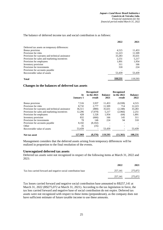#### The balance of deferred income tax and social contribution is as follows:

|                                                 | 2022    | 2021    |
|-------------------------------------------------|---------|---------|
| Deferred tax assets on temporary differences:   |         |         |
| Bonus provision                                 | 4.515   | 11,453  |
| Provision for risks                             | 12.223  | 11,509  |
| Provision for warranty and technical assistance | 33.283  | 35,631  |
| Provision for sales and marketing incentives    | 2.251   | 5,217   |
| Provision for employees                         | 1,891   | 1,954   |
| Inventory provision                             | 311     | 166     |
| Provision for investments                       | 318     | 224     |
| Provision for accounts payable                  |         |         |
| Recoverable value of assets                     | 53,439  | 53,439  |
| <b>Total</b>                                    | 108.231 | 119,593 |

#### **Changes in the balances of deferred tax assets**

|                                                 | At<br><b>January 1</b> | <b>Recognized</b><br>in the 2021<br>result | <b>Balance</b><br>2021 | <b>Recognized</b><br>in the $2022$<br>result | <b>Balance</b><br>2022 |
|-------------------------------------------------|------------------------|--------------------------------------------|------------------------|----------------------------------------------|------------------------|
| Bonus provision                                 | 7.516                  | 3,937                                      | 11.453                 | (6,938)                                      | 4,515                  |
| Provision for risks                             | 8.732                  | 2.777                                      | 11,509                 | 714                                          | 12,223                 |
| Provision for warranty and technical assistance | 36,511                 | (880)                                      | 35,631                 | (2,348)                                      | 33,283                 |
| Provision for sales and marketing incentives    | 12,296                 | (7.079)                                    | 5,217                  | (2,966)                                      | 2,251                  |
| Provision for employees                         | 428                    | 1,526                                      | 1,954                  | (64)                                         | 1,891                  |
| Inventory provision                             | 832                    | (666)                                      | 166                    | 145                                          | 311                    |
| Provision for investments                       | 78                     | 146                                        | 224                    | 94                                           | 318                    |
| Provision for accounts payable                  | 8.102                  | (8,102)                                    |                        |                                              |                        |
| Other                                           | 35                     | (35)                                       |                        |                                              |                        |
| Recoverable value of assets                     | 53,439                 |                                            | 53,439                 |                                              | 53,439                 |
| Net tax asset                                   | 127.969                | (8,376)                                    | 119,593                | (11,361)                                     | 108.231                |

Management considers that the deferred assets arising from temporary differences will be realized in proportion to the final resolution of the events.

#### **Unrecognized deferred tax assets**

Deferred tax assets were not recognized in respect of the following items at March 31, 2022 and 2021:

|                                                                | 2022    | 2021    |
|----------------------------------------------------------------|---------|---------|
| Tax loss carried forward and negative social contribution base | 257,141 | 275,072 |
|                                                                | 257,141 | 275,072 |

Tax losses carried forward and negative social contribution base amounted to R\$257,141 at March 31, 2022 (R\$275,072 at March 31, 2021). According to the tax legislation in force, the tax loss carried forward and negative base of social contribution do not expire. Deferred tax assets were not recognized with respect to these items (preponderant), as the company does not have sufficient estimate of future taxable income to use these amounts.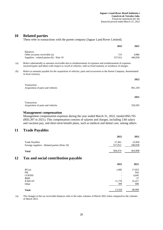# **10 Related parties**

These refer to transactions with the parent company (Jaguar Land Rover Limited).

|                                           | 2022    | 2021    |
|-------------------------------------------|---------|---------|
| Balances:                                 |         |         |
| Other accounts receivable (a)             | 515     | 4.886   |
| Suppliers - related parties (b) - Note 10 | 557.012 | 440,058 |

(a) Refers substantially to amounts receivable due to reimbursement of expenses and reimbursement of expenses incurred (parts and labor) with respect to *recall* of vehicles, with no fixed maturity or incidence of charges.

(b) Refers to amounts payable for the acquisition of vehicles, parts and accessories to the Parent Company, denominated in local currency.

|                                                   | 2022    |
|---------------------------------------------------|---------|
| Transaction:<br>Acquisition of parts and vehicles | 901,339 |
|                                                   | 2021    |
| Transaction:<br>Acquisition of parts and vehicles | 550,505 |

#### **Management compensation**

Management compensation expenses during the year ended March 31, 2022, totaled R\$3,765 (R\$3,397 in 2021). This compensation consists of salaries and charges, including 13th salary and vacation pay, and short-term benefit plans, such as medical and dental care, among others.

# **11 Trade Payables**

|                                               | 2022    | 2021    |
|-----------------------------------------------|---------|---------|
| <b>Trade Payables</b>                         | 27,462  | 23,850  |
| Foreign suppliers - Related parties (Note 10) | 557,012 | 440,058 |
| Total                                         | 584,474 | 463.908 |

# **12 Tax and social contribution payable**

|                | 2022           | 2021   |
|----------------|----------------|--------|
| IPI(a)         | 1,085          | 17,053 |
| <b>PIS</b>     | $\blacksquare$ | 942    |
| <b>COFINS</b>  | $\blacksquare$ | 4,845  |
| <b>IRRF</b>    | $\blacksquare$ | 57     |
| <b>ICMS-ST</b> | 11,770         | 25,417 |
| Other          | 309            | 680    |
| <b>Total</b>   | 13,164         | 48,994 |

(a) The changes in the tax receivable balances refer to the sales volumes of March 2022 when compared to the volumes of March 2021.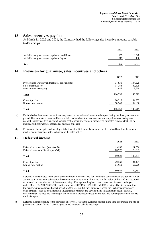# **13 Sales incentives payable**

At March 31, 2022 and 2021, the Company had the following sales incentive amounts payable to dealerships:

|                                                                                            | 2022       | 2021         |
|--------------------------------------------------------------------------------------------|------------|--------------|
| Variable margin expenses payable - Land Rover<br>Variable margin expenses payable - Jaguar | 155<br>817 | 6.328<br>406 |
| <b>Total</b>                                                                               | 972        | 6.734        |

# **14 Provision for guarantee, sales incentives and others**

|                                                     | 2022    | 2021    |
|-----------------------------------------------------|---------|---------|
| Provision for warranty and technical assistance (a) | 97,830  | 104,625 |
| Sales incentives (b)                                | 17,283  | 39,625  |
| Provision for marketing                             | 1,645   | 2,669   |
| <b>Total</b>                                        | 116,758 | 146,919 |
| Current portion                                     | 66,213  | 94,253  |
| Non-current portion                                 | 50,545  | 52,666  |
| <b>Total</b>                                        | 116,758 | 146,919 |

(a) Established at the time of the vehicle's sale, based on the estimated amount to be spent during the three-year warranty period. This estimate is based on historical information about the occurrence of warranty situations, taking into account estimates of frequency and average cost of repairs per vehicle model. The estimated expenses that will be incurred with warranty are recorded as business expenses.

(b) Performance bonus paid to dealerships at the time of vehicle sale, the amounts are determined based on the vehicle models and performance rate established in the sales policy.

# **15 Deferred income**

|                                       | 2022   | 2021    |
|---------------------------------------|--------|---------|
| Deferred income - land (a) - Note 20  | 19.950 | 21,000  |
| Deferred revenue - "Service plan" (b) | 60,972 | 79,387  |
| <b>Total</b>                          | 80,922 | 100,387 |
| Current portion                       | 29,269 | 34,421  |
| Non-current portion                   | 51,653 | 65,966  |
| <b>Total</b>                          | 80,922 | 100,387 |

- (a) Deferred income related to the benefit received from a piece of land donated by the government of the State of Rio de Janeiro as an investment subsidy for the construction of its plant in the State. The fair value of this land was recorded as deferred income with part of the revenue being offset against the plant construction costs incurred in the year ended March 31, 2016 (R\$20,500) and the amount of R\$19,950 (R\$21,000 in 2021) is being offset in the result for the period, with an estimated offset period of 20 years. In 2021 the Company reached the established mandatory considerations, such as job generation, investment in research and development, investment in social, cultural, environmental, science and technology, and vocational technical education projects, and 400 employees dedicated to the Itatiaia plant.
- (b) Deferred income referring to the provision of services, which the customer opts for at the time of purchase and makes payments to obtain financial benefits (discounts) in future vehicle check-ups.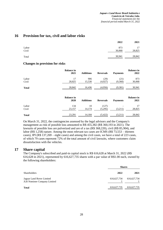# **16 Provision for tax, civil and labor risks**

|       | 2022   | 2021   |
|-------|--------|--------|
| Labor | 873    | 17     |
| Civil | 30,068 | 28,825 |
| Total | 30,941 | 28,842 |

#### **Changes in provision for risks**

|                | <b>Balance in</b><br>2021 | <b>Additions</b> | <b>Reversals</b> | <b>Payments</b> | <b>Balance in</b><br>2022 |
|----------------|---------------------------|------------------|------------------|-----------------|---------------------------|
| Labor<br>Civil | 17<br>28,825              | 906<br>15,530    | (29)<br>(4,927)  | (21)<br>(9,360) | 873<br>30,068             |
| <b>Total</b>   | 28,842                    | 16,436           | (4,956)          | (9,381)         | 30,941                    |
|                | <b>Balance</b> in<br>2020 | <b>Additions</b> | <b>Reversals</b> | <b>Payments</b> | <b>Balance in</b><br>2021 |
| Labor<br>Civil | 134<br>23,157             | 10<br>14,174     | (127)<br>(5,295) | (3,211)         | 17<br>28,825              |
| <b>Total</b>   | 23,291                    | 14,184           | (5, 422)         | (3,211)         | 28,842                    |

On March 31, 2022, the contingencies assessed by the legal advisors and the Company's management as risk of possible loss amounted to R\$ 455,382 (R\$ 360,193 in 2021). The lawsuits of possible loss are pulverized and are of a tax (R\$ 368,220), civil (R\$ 85,904), and labor (R\$ 1,258) nature. Among the most relevant tax cases are ICMS (R\$ 73,553 – thirteen cases), IPI (R\$ 137,269 – eight cases) and among the civil cases, we have a total of 223 cases, of which 79 cases represent 72% of the total amount of civil lawsuits, where customers claim dissatisfaction with the vehicles.

# **17 Share capital**

The Company's subscribed and paid-in capital stock is R\$ 616,628 at March 31, 2022 (R\$ 616,628 in 2021), represented by 616,627,735 shares with a par value of R\$1.00 each, owned by the following shareholders:

|                                                          | <b>Shares</b> |               |  |
|----------------------------------------------------------|---------------|---------------|--|
| <b>Shareholders</b>                                      | 2022          | 2021          |  |
| Jaguar Land Rover Limited<br>JLR Nominee Company Limited | 616, 627, 734 | 616,627,734   |  |
| <b>Total</b>                                             | 616, 627, 735 | 616, 627, 735 |  |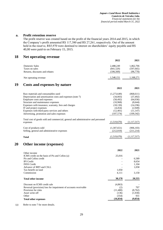## **a. Profit retention reserve**

The profit reserve was created based on the profit of the financial years 2014 and 2015, in which the Company's profit amounted R\$ 117,380 and R\$ 27,261, respectively. Out of the amount held in the reserve, R\$5,970 were destined to interest on shareholders' equity payable and R\$ 40,00 were paid-in on February 15, 2015.

# **18 Net operating revenue**

|    |                                                                                               | 2022        | 2021          |
|----|-----------------------------------------------------------------------------------------------|-------------|---------------|
|    | Domestic Sales                                                                                | 2,488,249   | 1,862,706     |
|    | Taxes on sales                                                                                | (841, 529)  | (597,665)     |
|    | Returns, discounts and rebates                                                                | (106, 569)  | (96, 770)     |
|    | Net operating revenue                                                                         | 1,540,151   | 1,168,271     |
| 19 | Costs and expenses by nature                                                                  | 2022        | 2021          |
|    |                                                                                               |             |               |
|    | Raw materials and consumables used                                                            | (1,273,649) | (868, 611)    |
|    | Depreciation and amortization costs and expenses (note 7)                                     | (34.003)    | (37, 492)     |
|    | Employee costs and expenses                                                                   | (58, 492)   | (64, 936)     |
|    | Structure and maintenance expenses                                                            | (10,968)    | (8,644)       |
|    | Expenses with insurance, warranty, fees and charges                                           | (18, 130)   | (14, 196)     |
|    | IT and project expenses                                                                       | (4, 454)    | (2,949)       |
|    | Expenses with third-party services and others                                                 | (12,401)    | (11, 147)     |
|    | Advertising, promotion and sales expenses                                                     | (107, 574)  | (109, 342)    |
|    | Total cost of goods sold and commercial, general and administrative and personnel<br>expenses | (1,519,670) | (1, 117, 317) |
|    | Cost of products sold                                                                         | (1,307,651) | (906, 103)    |
|    | Selling, general and administrative expenses                                                  | (212,019)   | (211, 214)    |
|    | <b>Total</b>                                                                                  | (1,519,670) | (1,117,317)   |
|    |                                                                                               |             |               |

# **20 Other income (expenses)**

|                                                                 | 2022      | 2021    |
|-----------------------------------------------------------------|-----------|---------|
| Other income                                                    |           |         |
| ICMS credit on the basis of Pis and Cofins (a)                  | 25,016    |         |
| Pis and Cofins credit                                           |           | 6,589   |
| <b>IPI</b> Credit                                               |           | 8,654   |
| <b>INSS</b> Credit                                              |           | 1,104   |
| Advance of IRPJ and CSLL                                        |           | 1,058   |
| Tax benefit on land                                             | 1,050     |         |
| Commission                                                      | 4,111     | 3,150   |
| <b>Total other income</b>                                       | 30,178    | 20,555  |
| Discount on ICMS credit sale                                    | (4,863)   |         |
| Reversal (provision) loss for impairment of accounts receivable | (2)       | 707     |
| Provision for risks                                             | (11,480)  | (8,762) |
| Asset write-off                                                 | (136)     | (1,930) |
| Other                                                           | (354)     | 931     |
| <b>Total other expenses</b>                                     | (16, 834) | (9,054) |

(a) Refer to note 7 for more details.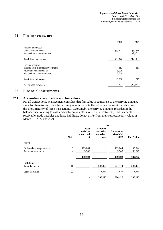# **21 Finance costs, net**

|                                   | 2022    | 2021      |
|-----------------------------------|---------|-----------|
| Finance expenses:                 |         |           |
| Other financial costs             | (9,988) | (3,490)   |
| Net exchange rate variation       |         | (9, 471)  |
| Total finance expenses            | (9,988) | (12,961)  |
| Finance income:                   |         |           |
| Income from financial investments | 313     | 317       |
| Monetary restatement on           | 5,028   |           |
| Net exchange rate variation       | 5,049   |           |
| Total finance income              | 10,390  | 317       |
| Net finance expenses              | 402     | (12, 644) |

# **22 Financial instruments**

# **22.1 Accounting classification and fair values**

For all transactions, Management considers that fair value is equivalent to the carrying amount, since for these transactions the carrying amount reflects the settlement value at that date due to the short maturity of these transactions. Accordingly, the carrying amounts recorded in the balance sheet relating to cash and cash equivalents, short-term investments, trade accounts receivable, trade payables and lease liabilities, do not differ from their respective fair values at March 31, 2022 and 2021.

|                                                  |                     |                                          | 2022                                         |                                                 |                   |
|--------------------------------------------------|---------------------|------------------------------------------|----------------------------------------------|-------------------------------------------------|-------------------|
|                                                  | <b>Note</b>         | Asset<br>carried at<br>amortized<br>cost | Liability<br>carried at<br>amortized<br>cost | <b>Balances at</b><br><b>March 31</b><br>, 2022 | <b>Fair Value</b> |
| <b>Assets</b>                                    |                     |                                          |                                              |                                                 |                   |
| Cash and cash equivalents<br>Accounts receivable | 3<br>$\overline{4}$ | 105,844<br>33,948                        |                                              | 105,844<br>33,948                               | 105,844<br>33,948 |
|                                                  |                     | 139,792                                  |                                              | 139,792                                         | 139,792           |
| <b>Liabilities</b>                               |                     |                                          |                                              |                                                 |                   |
| <b>Trade Payables</b>                            | 10                  |                                          | 584,474                                      | 584,474                                         | 584,474           |
| Lease liabilities                                | 23                  |                                          | 1,653                                        | 1,653                                           | 1,653             |
|                                                  |                     |                                          | 586,127                                      | 586,127                                         | 586,127           |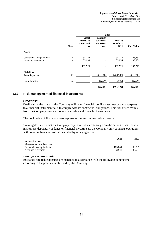|                                                  |                     |                                          | 2021                                         |                                              |                   |
|--------------------------------------------------|---------------------|------------------------------------------|----------------------------------------------|----------------------------------------------|-------------------|
|                                                  | <b>Note</b>         | Asset<br>carried at<br>amortized<br>cost | Liability<br>carried at<br>amortized<br>cost | <b>Total at</b><br><b>March 31</b><br>, 2021 | <b>Fair Value</b> |
| <b>Assets</b>                                    |                     |                                          |                                              |                                              |                   |
| Cash and cash equivalents<br>Accounts receivable | $\overline{4}$<br>5 | 98,787<br>33,934                         |                                              | 98,787<br>33,934                             | 98,787<br>33,934  |
|                                                  |                     | 132,721                                  |                                              | 132,721                                      | 132,721           |
| <b>Liabilities</b><br><b>Trade Payables</b>      | 11                  |                                          | (463,908)                                    | (463,908)                                    | (463,908)         |
| Lease liabilities                                | 24                  |                                          | (1,890)                                      | (1,890)                                      | (1,890)           |
|                                                  |                     |                                          | (465, 798)                                   | (465, 798)                                   | (465, 798)        |

# **22.2 Risk management of financial instruments**

#### *Credit risk*

Credit risk is the risk that the Company will incur financial loss if a customer or a counterparty to a financial instrument fails to comply with its contractual obligations. This risk arises mainly from the Company's trade accounts receivable and financial instruments.

The book value of financial assets represents the maximum credit exposure.

To mitigate the risk that the Company may incur losses resulting from the default of its financial institutions depositary of funds or financial investments, the Company only conducts operations with low-risk financial institutions rated by rating agencies.

| 2022    | 2021   |
|---------|--------|
|         |        |
|         |        |
| 105,844 | 98.787 |
| 33.948  | 33.934 |
|         |        |

#### *Foreign exchange risk*

Exchange rate risk exposures are managed in accordance with the following parameters according to the policies established by the Company.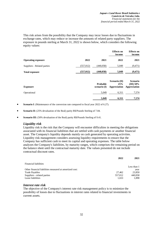This risk arises from the possibility that the Company may incur losses due to fluctuations in exchange rates, which may reduce or increase the amounts of related party suppliers. The exposure in pounds sterling at March 31, 2022 is shown below, which considers the following equity values:

|                             |            |                            | <b>Effects</b> on<br>income          | <b>Effects</b> on<br>income                     |
|-----------------------------|------------|----------------------------|--------------------------------------|-------------------------------------------------|
| <b>Operating exposure</b>   | 2022       | 2021                       | 2022                                 | 2021                                            |
| Suppliers - Related parties | (557, 012) | (440, 058)                 | 5,049                                | (9, 471)                                        |
| <b>Total exposure</b>       | (557, 012) | (440, 058)                 | 5,049                                | (9, 471)                                        |
| <b>Exposure</b>             |            | Probable<br>scenario $(I)$ | Scenario (II)<br>25%<br>Appreciation | <b>Scenario</b><br>(III) $50\%$<br>Appreciation |
| Operational                 |            | 5,049                      | 6,311                                | 7,574                                           |
|                             |            | 5,049                      | 6,311                                | 7,574                                           |

- **Scenario I**: (Maintenance of the conversion rate compared to fiscal year 2022 of 6.27).
- **Scenario II:** (25% devaluation of the Real) parity R\$/Pounds Sterling of 7.84.
- Scenario III: (50% devaluation of the Real) parity R\$/Pounds Sterling of 9.41.

#### *Liquidity risk*

Liquidity risk is the risk that the Company will encounter difficulties in meeting the obligations associated with its financial liabilities that are settled with cash payments or another financial asset. The Company's liquidity depends mainly on cash generated by operating activities. Liquidity risk management considers assessing liquidity requirements to ensure that the Company has sufficient cash to meet its capital and operating expenses. The table below analyzes the Company's liabilities, by maturity ranges, which comprises the remaining period on the balance sheet until the contractual maturity date. The values presented do not include contractual discount rates.

|                                                         | 2022    | 2021        |
|---------------------------------------------------------|---------|-------------|
| <b>Financial liabilities</b>                            |         |             |
|                                                         |         | Less than 1 |
| Other financial liabilities measured at amortized cost: |         | year        |
| Trade Payables                                          | 27,462  | 23,850      |
| Suppliers - related parties                             | 557,012 | 440,058     |
| Lease liabilities                                       | 1.653   | 1.890       |

# *Interest rate risk*

The objective of the Company's interest rate risk management policy is to minimize the possibility of losses due to fluctuations in interest rates related to financial investments in current assets.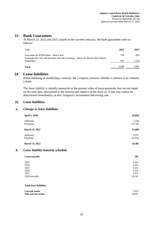# **23 Bank Guarantees**

At March 31, 2022 and 2021, based on the current contracts, the bank guarantees were as follows:

| Type                                                                                                                                    | 2022  | 2021  |
|-----------------------------------------------------------------------------------------------------------------------------------------|-------|-------|
| Guarantee for ICMS debts - Banco Itaú<br>Guarantee for rent and purchase and sale of energy - Banco do Brasil (2021 Banco<br>Santander) | 728   | 829   |
|                                                                                                                                         | 931   | 1.214 |
| Total                                                                                                                                   | 1.659 | 2.043 |

# **24 Lease liabilities**

When initiating or modifying a contract, the Company assesses whether a contract is or contains a lease.

The lease liability is initially measured at the present value of lease payments that are not made on the start date, discounted at the interest rate implicit in the lease or, if that rate cannot be determined immediately, at the Company's incremental borrowing rate.

# **(i) Lease liabilities**

#### *a. Change in lease liabilities*

| April 1, 2020                           | 16,850   |
|-----------------------------------------|----------|
| <b>Additions</b>                        | 1,528    |
| Payments                                | (2,710)  |
| March 31, 2021                          | 15,668   |
| <b>Additions</b>                        | 9,371    |
| Payments                                | (4, 554) |
| March 31, 2022                          | 20,485   |
| Lease liability maturity schedule<br>b. |          |
| Lease payable                           | R\$      |
| 2023                                    | 5,551    |
| 2024                                    | 5,551    |
| 2025                                    | 5,551    |
| 2026                                    | 5,551    |
| 2027                                    | 5,551    |
| 2028 onwards                            | 14,341   |
| <b>Total lease liabilities</b>          |          |

| <b>Current assets</b>     | 1,653  |
|---------------------------|--------|
| <b>Non-current assets</b> | 18.832 |